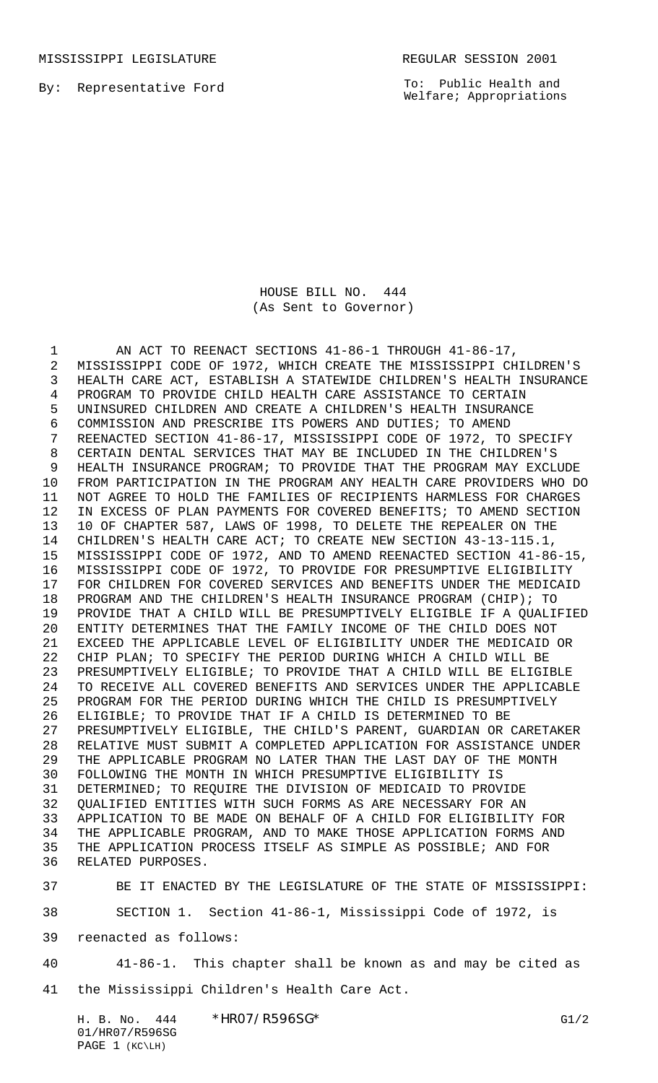MISSISSIPPI LEGISLATURE **REGULAR SESSION 2001** 

By: Representative Ford

To: Public Health and Welfare; Appropriations

HOUSE BILL NO. 444 (As Sent to Governor)

1 AN ACT TO REENACT SECTIONS 41-86-1 THROUGH 41-86-17, MISSISSIPPI CODE OF 1972, WHICH CREATE THE MISSISSIPPI CHILDREN'S HEALTH CARE ACT, ESTABLISH A STATEWIDE CHILDREN'S HEALTH INSURANCE PROGRAM TO PROVIDE CHILD HEALTH CARE ASSISTANCE TO CERTAIN UNINSURED CHILDREN AND CREATE A CHILDREN'S HEALTH INSURANCE COMMISSION AND PRESCRIBE ITS POWERS AND DUTIES; TO AMEND REENACTED SECTION 41-86-17, MISSISSIPPI CODE OF 1972, TO SPECIFY CERTAIN DENTAL SERVICES THAT MAY BE INCLUDED IN THE CHILDREN'S HEALTH INSURANCE PROGRAM; TO PROVIDE THAT THE PROGRAM MAY EXCLUDE FROM PARTICIPATION IN THE PROGRAM ANY HEALTH CARE PROVIDERS WHO DO NOT AGREE TO HOLD THE FAMILIES OF RECIPIENTS HARMLESS FOR CHARGES IN EXCESS OF PLAN PAYMENTS FOR COVERED BENEFITS; TO AMEND SECTION 10 OF CHAPTER 587, LAWS OF 1998, TO DELETE THE REPEALER ON THE CHILDREN'S HEALTH CARE ACT; TO CREATE NEW SECTION 43-13-115.1, MISSISSIPPI CODE OF 1972, AND TO AMEND REENACTED SECTION 41-86-15, MISSISSIPPI CODE OF 1972, TO PROVIDE FOR PRESUMPTIVE ELIGIBILITY FOR CHILDREN FOR COVERED SERVICES AND BENEFITS UNDER THE MEDICAID PROGRAM AND THE CHILDREN'S HEALTH INSURANCE PROGRAM (CHIP); TO PROVIDE THAT A CHILD WILL BE PRESUMPTIVELY ELIGIBLE IF A QUALIFIED ENTITY DETERMINES THAT THE FAMILY INCOME OF THE CHILD DOES NOT EXCEED THE APPLICABLE LEVEL OF ELIGIBILITY UNDER THE MEDICAID OR CHIP PLAN; TO SPECIFY THE PERIOD DURING WHICH A CHILD WILL BE PRESUMPTIVELY ELIGIBLE; TO PROVIDE THAT A CHILD WILL BE ELIGIBLE TO RECEIVE ALL COVERED BENEFITS AND SERVICES UNDER THE APPLICABLE PROGRAM FOR THE PERIOD DURING WHICH THE CHILD IS PRESUMPTIVELY ELIGIBLE; TO PROVIDE THAT IF A CHILD IS DETERMINED TO BE PRESUMPTIVELY ELIGIBLE, THE CHILD'S PARENT, GUARDIAN OR CARETAKER 28 RELATIVE MUST SUBMIT A COMPLETED APPLICATION FOR ASSISTANCE UNDER<br>29 THE APPLICABLE PROGRAM NO LATER THAN THE LAST DAY OF THE MONTH THE APPLICABLE PROGRAM NO LATER THAN THE LAST DAY OF THE MONTH FOLLOWING THE MONTH IN WHICH PRESUMPTIVE ELIGIBILITY IS DETERMINED; TO REQUIRE THE DIVISION OF MEDICAID TO PROVIDE QUALIFIED ENTITIES WITH SUCH FORMS AS ARE NECESSARY FOR AN APPLICATION TO BE MADE ON BEHALF OF A CHILD FOR ELIGIBILITY FOR THE APPLICABLE PROGRAM, AND TO MAKE THOSE APPLICATION FORMS AND THE APPLICATION PROCESS ITSELF AS SIMPLE AS POSSIBLE; AND FOR RELATED PURPOSES.

BE IT ENACTED BY THE LEGISLATURE OF THE STATE OF MISSISSIPPI:

SECTION 1. Section 41-86-1, Mississippi Code of 1972, is

reenacted as follows:

 41-86-1. This chapter shall be known as and may be cited as the Mississippi Children's Health Care Act.

H. B. No. 444 \* HRO7/R596SG\* G1/2 01/HR07/R596SG PAGE 1 (KC\LH)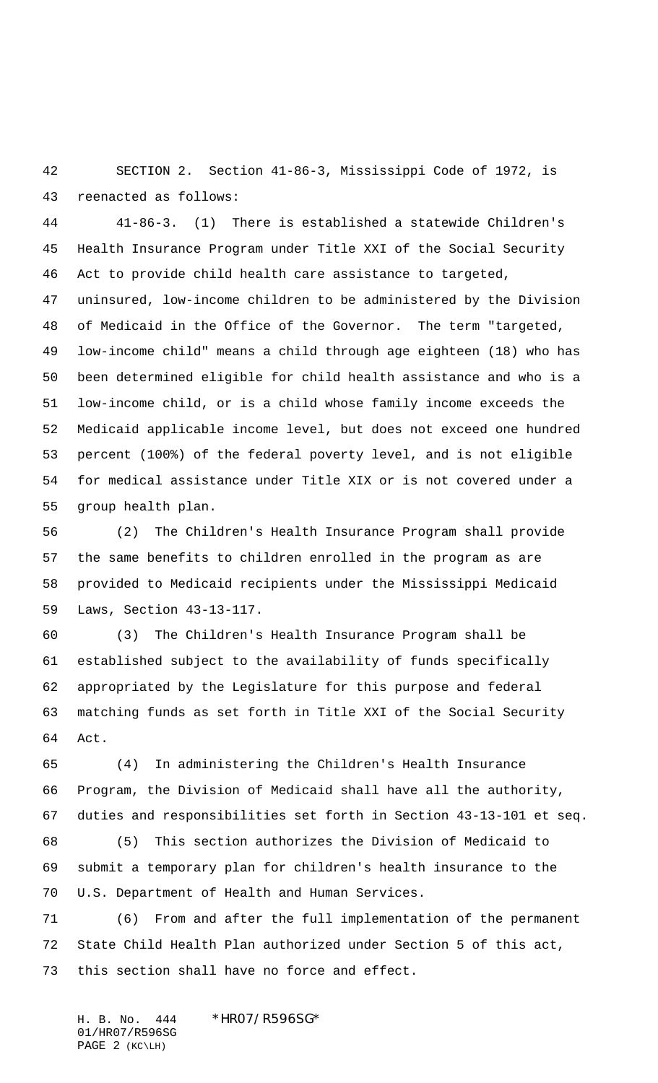SECTION 2. Section 41-86-3, Mississippi Code of 1972, is reenacted as follows:

 41-86-3. (1) There is established a statewide Children's Health Insurance Program under Title XXI of the Social Security Act to provide child health care assistance to targeted, uninsured, low-income children to be administered by the Division of Medicaid in the Office of the Governor. The term "targeted, low-income child" means a child through age eighteen (18) who has been determined eligible for child health assistance and who is a low-income child, or is a child whose family income exceeds the Medicaid applicable income level, but does not exceed one hundred percent (100%) of the federal poverty level, and is not eligible for medical assistance under Title XIX or is not covered under a group health plan.

 (2) The Children's Health Insurance Program shall provide the same benefits to children enrolled in the program as are provided to Medicaid recipients under the Mississippi Medicaid Laws, Section 43-13-117.

 (3) The Children's Health Insurance Program shall be established subject to the availability of funds specifically appropriated by the Legislature for this purpose and federal matching funds as set forth in Title XXI of the Social Security Act.

 (4) In administering the Children's Health Insurance Program, the Division of Medicaid shall have all the authority, duties and responsibilities set forth in Section 43-13-101 et seq. (5) This section authorizes the Division of Medicaid to submit a temporary plan for children's health insurance to the U.S. Department of Health and Human Services.

 (6) From and after the full implementation of the permanent State Child Health Plan authorized under Section 5 of this act, this section shall have no force and effect.

H. B. No. 444 \*HR07/R596SG\* 01/HR07/R596SG PAGE 2 (KC\LH)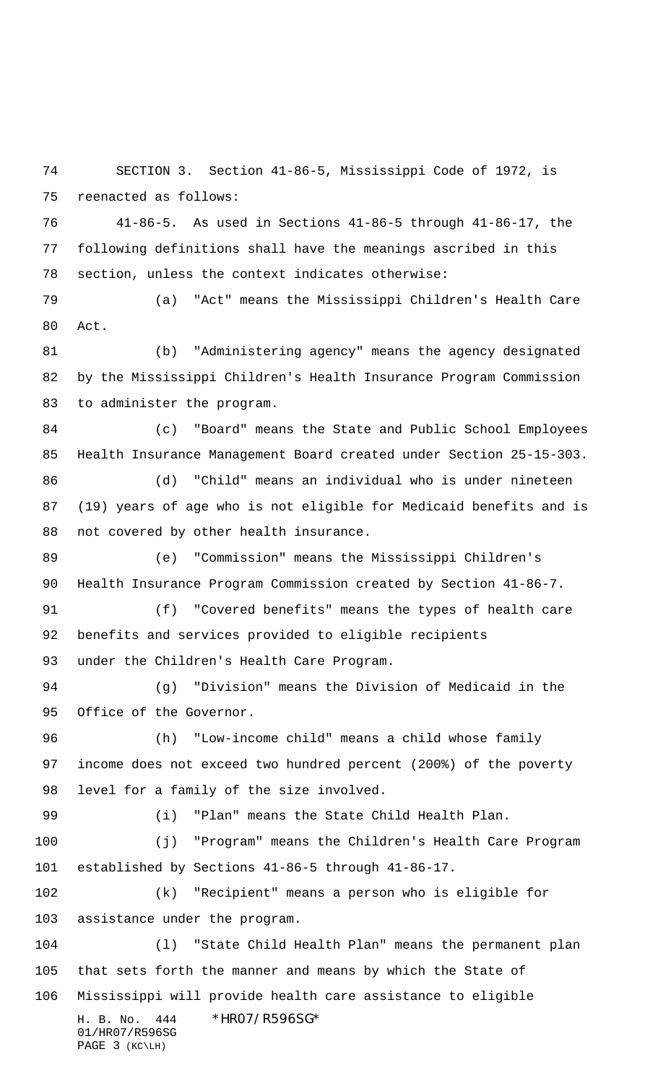SECTION 3. Section 41-86-5, Mississippi Code of 1972, is reenacted as follows:

 41-86-5. As used in Sections 41-86-5 through 41-86-17, the following definitions shall have the meanings ascribed in this section, unless the context indicates otherwise:

 (a) "Act" means the Mississippi Children's Health Care Act.

 (b) "Administering agency" means the agency designated by the Mississippi Children's Health Insurance Program Commission to administer the program.

 (c) "Board" means the State and Public School Employees Health Insurance Management Board created under Section 25-15-303.

 (d) "Child" means an individual who is under nineteen (19) years of age who is not eligible for Medicaid benefits and is not covered by other health insurance.

 (e) "Commission" means the Mississippi Children's Health Insurance Program Commission created by Section 41-86-7.

 (f) "Covered benefits" means the types of health care benefits and services provided to eligible recipients under the Children's Health Care Program.

 (g) "Division" means the Division of Medicaid in the Office of the Governor.

 (h) "Low-income child" means a child whose family income does not exceed two hundred percent (200%) of the poverty level for a family of the size involved.

(i) "Plan" means the State Child Health Plan.

 (j) "Program" means the Children's Health Care Program established by Sections 41-86-5 through 41-86-17.

 (k) "Recipient" means a person who is eligible for assistance under the program.

H. B. No. 444 \*HR07/R596SG\* (l) "State Child Health Plan" means the permanent plan that sets forth the manner and means by which the State of Mississippi will provide health care assistance to eligible

01/HR07/R596SG PAGE 3 (KC\LH)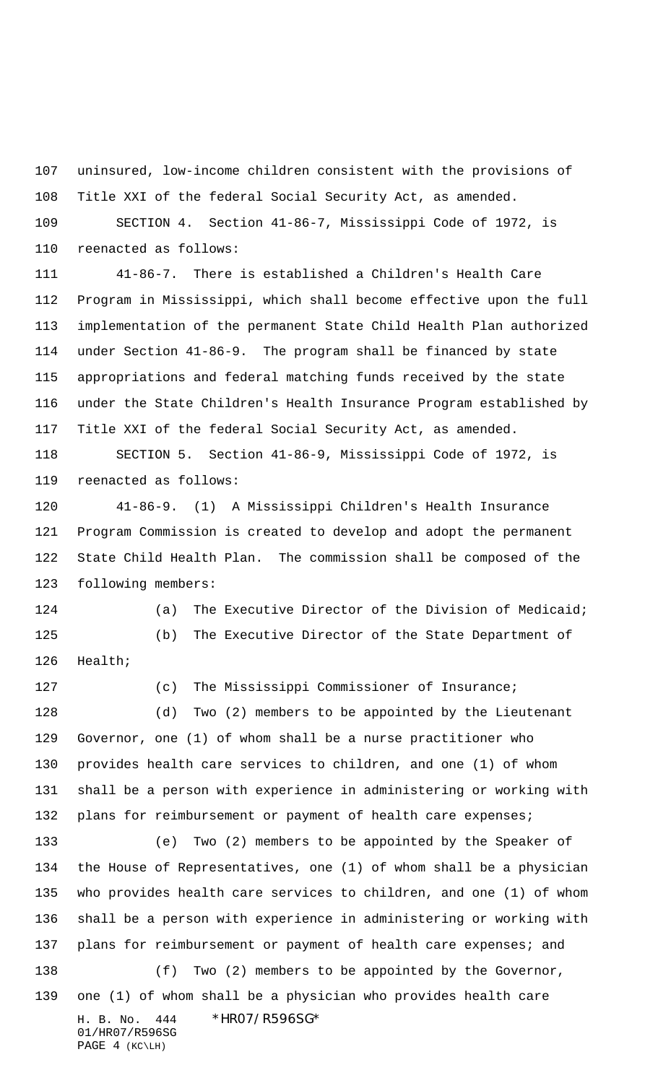uninsured, low-income children consistent with the provisions of Title XXI of the federal Social Security Act, as amended.

 SECTION 4. Section 41-86-7, Mississippi Code of 1972, is reenacted as follows:

 41-86-7. There is established a Children's Health Care Program in Mississippi, which shall become effective upon the full implementation of the permanent State Child Health Plan authorized under Section 41-86-9. The program shall be financed by state appropriations and federal matching funds received by the state under the State Children's Health Insurance Program established by Title XXI of the federal Social Security Act, as amended.

 SECTION 5. Section 41-86-9, Mississippi Code of 1972, is reenacted as follows:

 41-86-9. (1) A Mississippi Children's Health Insurance Program Commission is created to develop and adopt the permanent State Child Health Plan. The commission shall be composed of the following members:

 (a) The Executive Director of the Division of Medicaid; (b) The Executive Director of the State Department of Health;

127 (c) The Mississippi Commissioner of Insurance; (d) Two (2) members to be appointed by the Lieutenant Governor, one (1) of whom shall be a nurse practitioner who provides health care services to children, and one (1) of whom shall be a person with experience in administering or working with 132 plans for reimbursement or payment of health care expenses;

H. B. No. 444 \*HR07/R596SG\* 01/HR07/R596SG (e) Two (2) members to be appointed by the Speaker of the House of Representatives, one (1) of whom shall be a physician who provides health care services to children, and one (1) of whom shall be a person with experience in administering or working with 137 plans for reimbursement or payment of health care expenses; and 138 (f) Two (2) members to be appointed by the Governor, one (1) of whom shall be a physician who provides health care

PAGE 4 (KC\LH)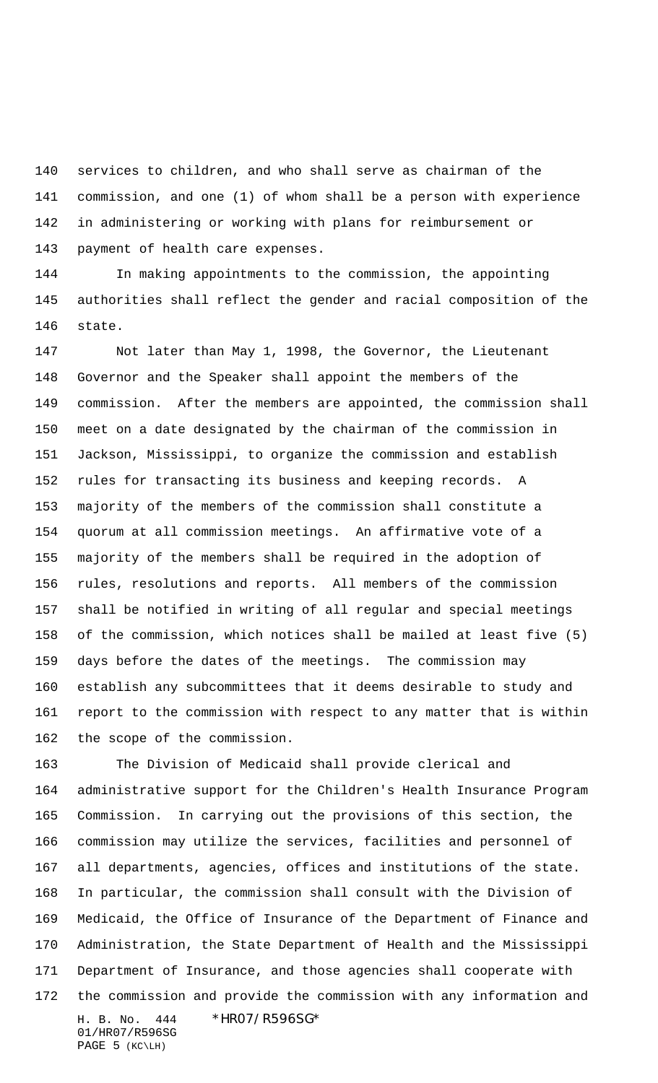services to children, and who shall serve as chairman of the commission, and one (1) of whom shall be a person with experience in administering or working with plans for reimbursement or payment of health care expenses.

 In making appointments to the commission, the appointing authorities shall reflect the gender and racial composition of the state.

 Not later than May 1, 1998, the Governor, the Lieutenant Governor and the Speaker shall appoint the members of the commission. After the members are appointed, the commission shall meet on a date designated by the chairman of the commission in Jackson, Mississippi, to organize the commission and establish rules for transacting its business and keeping records. A majority of the members of the commission shall constitute a quorum at all commission meetings. An affirmative vote of a majority of the members shall be required in the adoption of rules, resolutions and reports. All members of the commission shall be notified in writing of all regular and special meetings of the commission, which notices shall be mailed at least five (5) days before the dates of the meetings. The commission may establish any subcommittees that it deems desirable to study and report to the commission with respect to any matter that is within the scope of the commission.

H. B. No. 444 \*HR07/R596SG\* 01/HR07/R596SG The Division of Medicaid shall provide clerical and administrative support for the Children's Health Insurance Program Commission. In carrying out the provisions of this section, the commission may utilize the services, facilities and personnel of all departments, agencies, offices and institutions of the state. In particular, the commission shall consult with the Division of Medicaid, the Office of Insurance of the Department of Finance and Administration, the State Department of Health and the Mississippi Department of Insurance, and those agencies shall cooperate with the commission and provide the commission with any information and

PAGE 5 (KC\LH)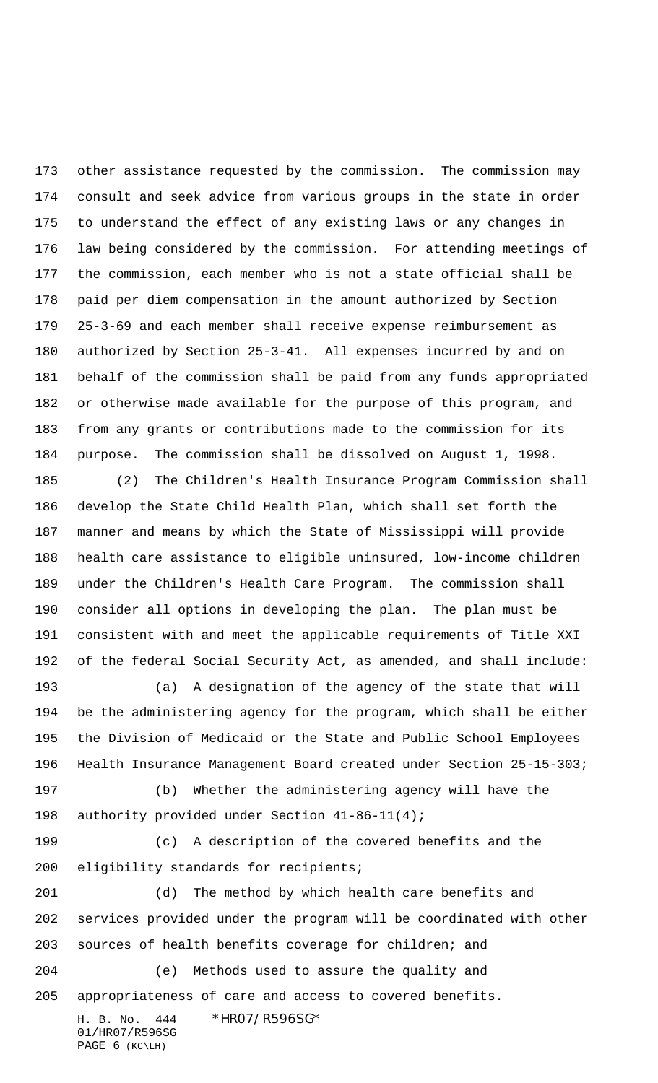other assistance requested by the commission. The commission may consult and seek advice from various groups in the state in order to understand the effect of any existing laws or any changes in law being considered by the commission. For attending meetings of the commission, each member who is not a state official shall be paid per diem compensation in the amount authorized by Section 25-3-69 and each member shall receive expense reimbursement as authorized by Section 25-3-41. All expenses incurred by and on behalf of the commission shall be paid from any funds appropriated or otherwise made available for the purpose of this program, and from any grants or contributions made to the commission for its purpose. The commission shall be dissolved on August 1, 1998.

 (2) The Children's Health Insurance Program Commission shall develop the State Child Health Plan, which shall set forth the manner and means by which the State of Mississippi will provide health care assistance to eligible uninsured, low-income children under the Children's Health Care Program. The commission shall consider all options in developing the plan. The plan must be consistent with and meet the applicable requirements of Title XXI of the federal Social Security Act, as amended, and shall include:

 (a) A designation of the agency of the state that will be the administering agency for the program, which shall be either the Division of Medicaid or the State and Public School Employees Health Insurance Management Board created under Section 25-15-303;

 (b) Whether the administering agency will have the authority provided under Section 41-86-11(4);

 (c) A description of the covered benefits and the eligibility standards for recipients;

 (d) The method by which health care benefits and services provided under the program will be coordinated with other sources of health benefits coverage for children; and (e) Methods used to assure the quality and

appropriateness of care and access to covered benefits.

H. B. No. 444 \*HR07/R596SG\* 01/HR07/R596SG PAGE 6 (KC\LH)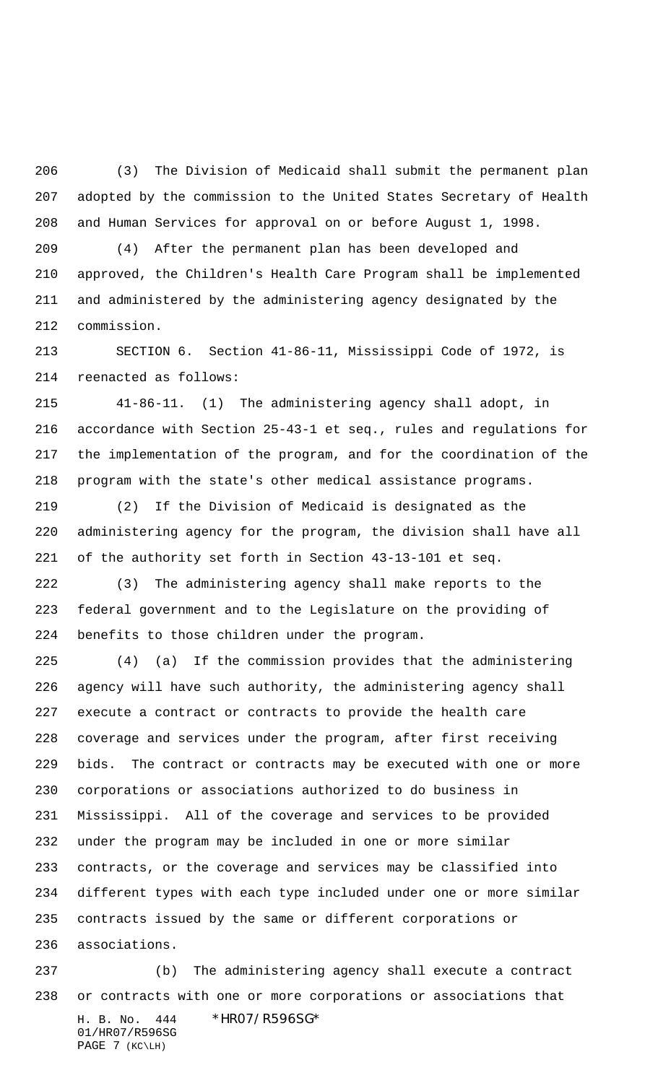(3) The Division of Medicaid shall submit the permanent plan adopted by the commission to the United States Secretary of Health and Human Services for approval on or before August 1, 1998.

 (4) After the permanent plan has been developed and approved, the Children's Health Care Program shall be implemented and administered by the administering agency designated by the commission.

 SECTION 6. Section 41-86-11, Mississippi Code of 1972, is reenacted as follows:

 41-86-11. (1) The administering agency shall adopt, in accordance with Section 25-43-1 et seq., rules and regulations for the implementation of the program, and for the coordination of the program with the state's other medical assistance programs.

 (2) If the Division of Medicaid is designated as the administering agency for the program, the division shall have all of the authority set forth in Section 43-13-101 et seq.

 (3) The administering agency shall make reports to the federal government and to the Legislature on the providing of benefits to those children under the program.

 (4) (a) If the commission provides that the administering agency will have such authority, the administering agency shall execute a contract or contracts to provide the health care coverage and services under the program, after first receiving bids. The contract or contracts may be executed with one or more corporations or associations authorized to do business in Mississippi. All of the coverage and services to be provided under the program may be included in one or more similar contracts, or the coverage and services may be classified into different types with each type included under one or more similar contracts issued by the same or different corporations or associations.

H. B. No. 444 \*HR07/R596SG\* 01/HR07/R596SG PAGE 7 (KC\LH) (b) The administering agency shall execute a contract or contracts with one or more corporations or associations that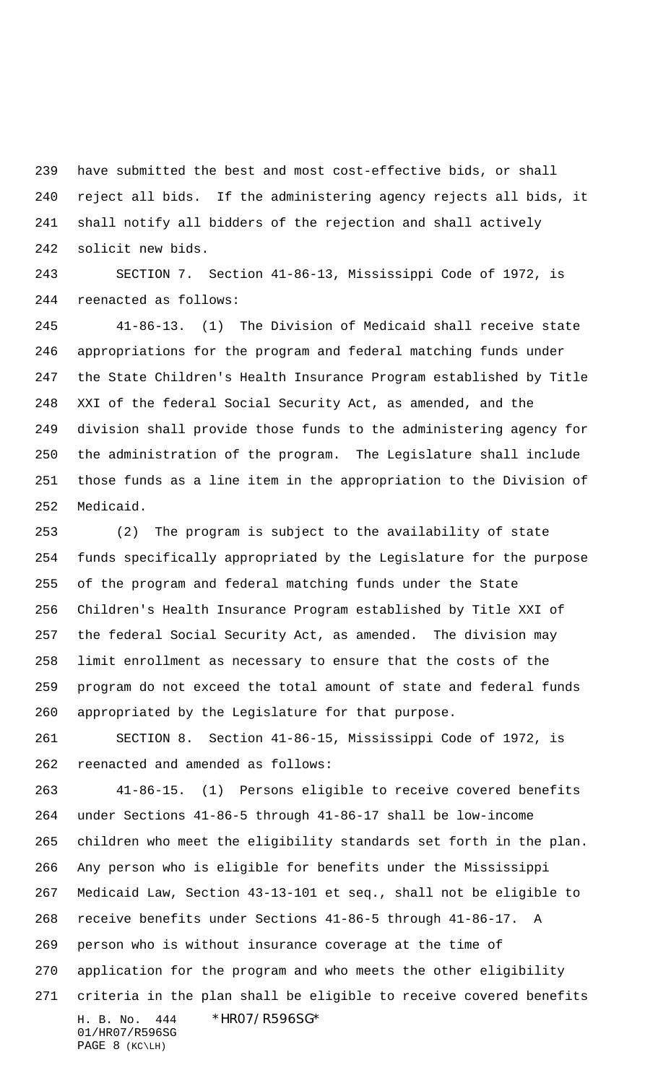have submitted the best and most cost-effective bids, or shall reject all bids. If the administering agency rejects all bids, it shall notify all bidders of the rejection and shall actively solicit new bids.

 SECTION 7. Section 41-86-13, Mississippi Code of 1972, is reenacted as follows:

 41-86-13. (1) The Division of Medicaid shall receive state appropriations for the program and federal matching funds under the State Children's Health Insurance Program established by Title XXI of the federal Social Security Act, as amended, and the division shall provide those funds to the administering agency for the administration of the program. The Legislature shall include those funds as a line item in the appropriation to the Division of Medicaid.

 (2) The program is subject to the availability of state funds specifically appropriated by the Legislature for the purpose of the program and federal matching funds under the State Children's Health Insurance Program established by Title XXI of the federal Social Security Act, as amended. The division may limit enrollment as necessary to ensure that the costs of the program do not exceed the total amount of state and federal funds appropriated by the Legislature for that purpose.

 SECTION 8. Section 41-86-15, Mississippi Code of 1972, is reenacted and amended as follows:

H. B. No. 444 \*HR07/R596SG\* 01/HR07/R596SG PAGE 8 (KC\LH) 41-86-15. (1) Persons eligible to receive covered benefits under Sections 41-86-5 through 41-86-17 shall be low-income children who meet the eligibility standards set forth in the plan. Any person who is eligible for benefits under the Mississippi Medicaid Law, Section 43-13-101 et seq., shall not be eligible to receive benefits under Sections 41-86-5 through 41-86-17. A person who is without insurance coverage at the time of application for the program and who meets the other eligibility criteria in the plan shall be eligible to receive covered benefits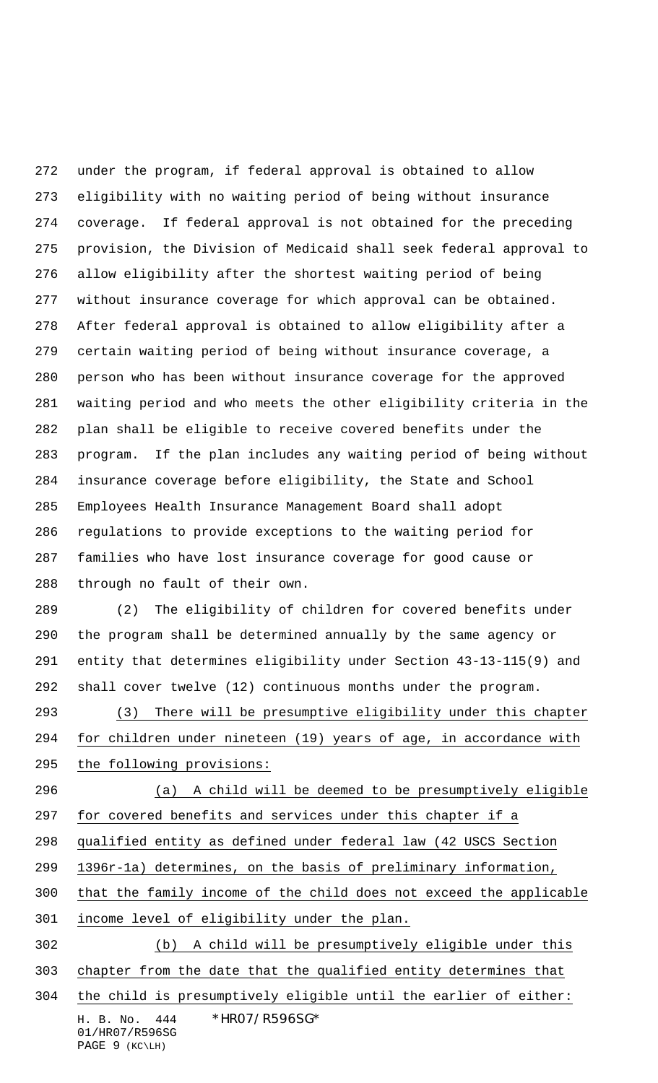under the program, if federal approval is obtained to allow eligibility with no waiting period of being without insurance coverage. If federal approval is not obtained for the preceding provision, the Division of Medicaid shall seek federal approval to allow eligibility after the shortest waiting period of being without insurance coverage for which approval can be obtained. After federal approval is obtained to allow eligibility after a certain waiting period of being without insurance coverage, a person who has been without insurance coverage for the approved waiting period and who meets the other eligibility criteria in the plan shall be eligible to receive covered benefits under the program. If the plan includes any waiting period of being without insurance coverage before eligibility, the State and School Employees Health Insurance Management Board shall adopt regulations to provide exceptions to the waiting period for families who have lost insurance coverage for good cause or through no fault of their own.

 (2) The eligibility of children for covered benefits under the program shall be determined annually by the same agency or entity that determines eligibility under Section 43-13-115(9) and shall cover twelve (12) continuous months under the program.

 (3) There will be presumptive eligibility under this chapter for children under nineteen (19) years of age, in accordance with the following provisions:

 (a) A child will be deemed to be presumptively eligible for covered benefits and services under this chapter if a qualified entity as defined under federal law (42 USCS Section 1396r-1a) determines, on the basis of preliminary information,

that the family income of the child does not exceed the applicable

income level of eligibility under the plan.

(b) A child will be presumptively eligible under this

chapter from the date that the qualified entity determines that

H. B. No. 444 \*HR07/R596SG\* the child is presumptively eligible until the earlier of either:

01/HR07/R596SG PAGE 9 (KC\LH)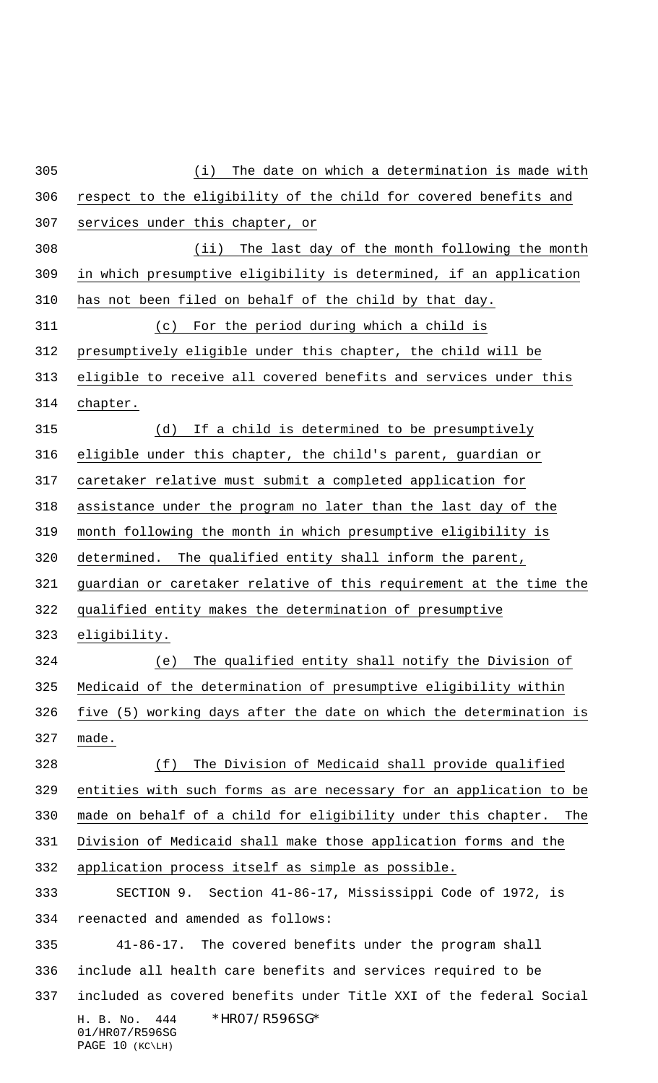H. B. No. 444 \*HR07/R596SG\* 01/HR07/R596SG PAGE 10 (KC\LH) (i) The date on which a determination is made with respect to the eligibility of the child for covered benefits and services under this chapter, or (ii) The last day of the month following the month in which presumptive eligibility is determined, if an application has not been filed on behalf of the child by that day. (c) For the period during which a child is presumptively eligible under this chapter, the child will be eligible to receive all covered benefits and services under this chapter. (d) If a child is determined to be presumptively eligible under this chapter, the child's parent, guardian or caretaker relative must submit a completed application for assistance under the program no later than the last day of the month following the month in which presumptive eligibility is determined. The qualified entity shall inform the parent, guardian or caretaker relative of this requirement at the time the qualified entity makes the determination of presumptive eligibility. (e) The qualified entity shall notify the Division of Medicaid of the determination of presumptive eligibility within five (5) working days after the date on which the determination is made. (f) The Division of Medicaid shall provide qualified entities with such forms as are necessary for an application to be made on behalf of a child for eligibility under this chapter. The Division of Medicaid shall make those application forms and the application process itself as simple as possible. SECTION 9. Section 41-86-17, Mississippi Code of 1972, is reenacted and amended as follows: 41-86-17. The covered benefits under the program shall include all health care benefits and services required to be included as covered benefits under Title XXI of the federal Social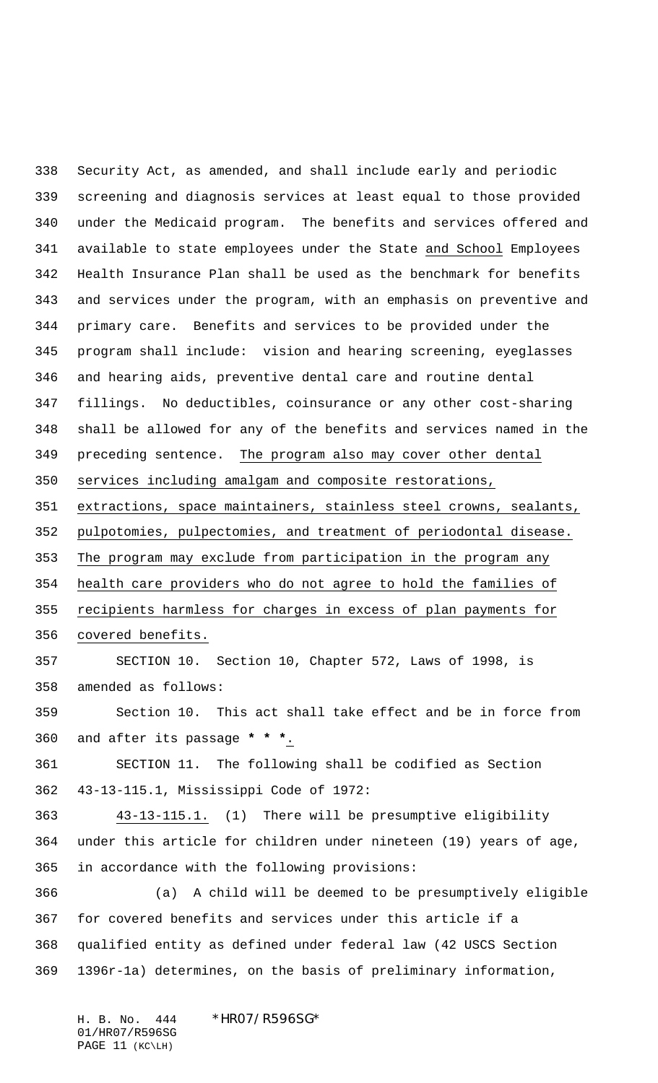Security Act, as amended, and shall include early and periodic screening and diagnosis services at least equal to those provided under the Medicaid program. The benefits and services offered and available to state employees under the State and School Employees Health Insurance Plan shall be used as the benchmark for benefits and services under the program, with an emphasis on preventive and primary care. Benefits and services to be provided under the program shall include: vision and hearing screening, eyeglasses and hearing aids, preventive dental care and routine dental fillings. No deductibles, coinsurance or any other cost-sharing shall be allowed for any of the benefits and services named in the preceding sentence. The program also may cover other dental services including amalgam and composite restorations, extractions, space maintainers, stainless steel crowns, sealants, pulpotomies, pulpectomies, and treatment of periodontal disease. The program may exclude from participation in the program any health care providers who do not agree to hold the families of recipients harmless for charges in excess of plan payments for covered benefits. SECTION 10. Section 10, Chapter 572, Laws of 1998, is amended as follows: Section 10. This act shall take effect and be in force from and after its passage **\* \* \***. SECTION 11. The following shall be codified as Section 43-13-115.1, Mississippi Code of 1972: 43-13-115.1. (1) There will be presumptive eligibility under this article for children under nineteen (19) years of age, in accordance with the following provisions: (a) A child will be deemed to be presumptively eligible for covered benefits and services under this article if a qualified entity as defined under federal law (42 USCS Section 1396r-1a) determines, on the basis of preliminary information,

H. B. No. 444 \*HR07/R596SG\* 01/HR07/R596SG PAGE 11 (KC\LH)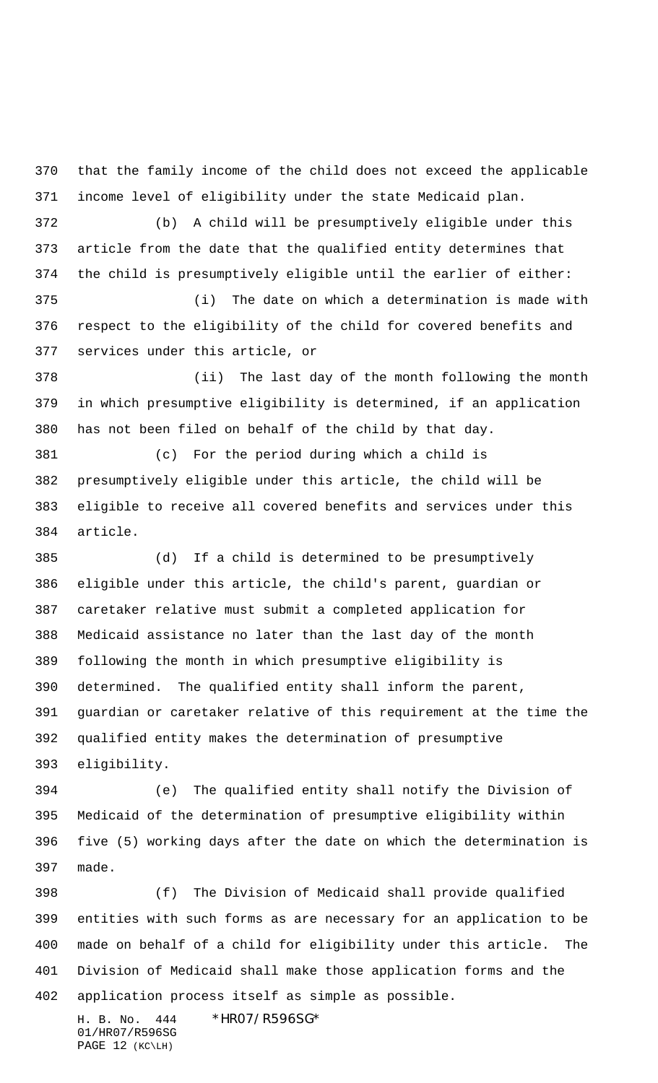that the family income of the child does not exceed the applicable income level of eligibility under the state Medicaid plan.

 (b) A child will be presumptively eligible under this article from the date that the qualified entity determines that the child is presumptively eligible until the earlier of either:

 (i) The date on which a determination is made with respect to the eligibility of the child for covered benefits and services under this article, or

 (ii) The last day of the month following the month in which presumptive eligibility is determined, if an application has not been filed on behalf of the child by that day.

 (c) For the period during which a child is presumptively eligible under this article, the child will be eligible to receive all covered benefits and services under this article.

 (d) If a child is determined to be presumptively eligible under this article, the child's parent, guardian or caretaker relative must submit a completed application for Medicaid assistance no later than the last day of the month following the month in which presumptive eligibility is determined. The qualified entity shall inform the parent, guardian or caretaker relative of this requirement at the time the qualified entity makes the determination of presumptive eligibility.

 (e) The qualified entity shall notify the Division of Medicaid of the determination of presumptive eligibility within five (5) working days after the date on which the determination is made.

 (f) The Division of Medicaid shall provide qualified entities with such forms as are necessary for an application to be made on behalf of a child for eligibility under this article. The Division of Medicaid shall make those application forms and the application process itself as simple as possible.

H. B. No. 444 \*HR07/R596SG\* 01/HR07/R596SG PAGE 12 (KC\LH)